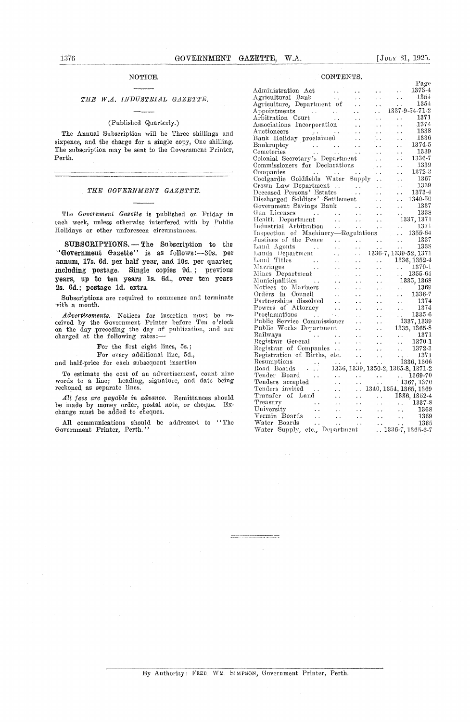#### NOTICE.

#### *THE W.A. INDUSTRIAL GAZETTE*

#### (Published Quarterly.)

The Annual Subscription will be Three shillings and sixpence, and the charge for a single copy, One shilling. The subscription may be sent to the Government Printer, Perth.

#### *THE GOVERNMENT GAZETTE.*

The *Government Gazette is* published on Friday in each week, unless otherwise interfered with by Public Holidays or other unforeseen circumstances.

**SUBSCRIPTIONS. —** The Subscription to the "Government Gazette" is as follows:-30s. per annum, 17s. 6d. per half year, and 10s. per quarter, including postage. Single copies 9d. ; previous **years, up to** ten years 1s. 6d., over ten years 2s. 6d.; postage 1d. extra.

Subscriptions are required to commence and terminate sitln a month.

*Advertisements.—Notices* for insertion must be received by the Government Printer before Ten o'clock on the day preceding the day of publication, and are charged at the following rates:—

For the first eight lines, 5s.;

For every additional line, 5d.,

and half-price for each subsequent insertion

To estimate the cost of an advertisement, count nine words to a line; heading, signature, and date being reckoned as separate lines.

*All foes are payable in advance.* Remittances should be made by money order, postal note, or cheque. Exchange must be added to cheques.

All communications should be addressed to "The Government Printer, Perth."

|  | CONTENTS. |  |
|--|-----------|--|
|  |           |  |

|                                                                       |                                                |                      |                                                                                                                                      | Page                                                                 |
|-----------------------------------------------------------------------|------------------------------------------------|----------------------|--------------------------------------------------------------------------------------------------------------------------------------|----------------------------------------------------------------------|
| Administration Act                                                    |                                                |                      |                                                                                                                                      | 1373-4                                                               |
| Agricultural Bank                                                     |                                                |                      |                                                                                                                                      | 1354                                                                 |
| Agriculture, Department of                                            | $\ddot{\phantom{0}}$                           | $\ddot{\phantom{a}}$ |                                                                                                                                      | 1354                                                                 |
|                                                                       | $\ddot{\phantom{0}}$                           |                      |                                                                                                                                      | 1337-9-54-71-2                                                       |
| Appointments<br>Arbitration Court                                     |                                                | $\ddot{\phantom{1}}$ |                                                                                                                                      | 1371                                                                 |
| Associations Incorporation                                            |                                                | $\ddot{\phantom{1}}$ | i û                                                                                                                                  | 1374                                                                 |
|                                                                       |                                                | . .                  | . .                                                                                                                                  | $-1338$                                                              |
| Auctioneers<br>Bank Holiday proclaimed                                |                                                | . .                  | وأحراء                                                                                                                               | 1336                                                                 |
|                                                                       | $\ddot{\phantom{0}}$                           |                      |                                                                                                                                      | 1374-5                                                               |
|                                                                       | $\ddot{\phantom{1}}$ .                         | $\ddot{\phantom{1}}$ | ė,                                                                                                                                   | 1339                                                                 |
| Bankruptcy<br>Cemeteries<br>Colonial Secretary's Department           |                                                |                      |                                                                                                                                      | $1336-7$                                                             |
| Commissioners for Declarations                                        |                                                | $\ddot{\phantom{1}}$ |                                                                                                                                      | 1339                                                                 |
| Companies                                                             |                                                |                      | $\ddot{\phantom{0}}$                                                                                                                 | 1372-3                                                               |
| Coolgardie Goldfields Water Supply                                    |                                                | $\ddot{\phantom{0}}$ | $\ddot{\phantom{0}}$                                                                                                                 | 1367                                                                 |
| Crown Law Department                                                  | $\epsilon \in \mathbb{R}^d$                    | $\sim$ $\sim$        | . .                                                                                                                                  | 1339                                                                 |
| Deceased Persons' Estates                                             | $\sim 100$                                     | . .                  |                                                                                                                                      | 1373-4                                                               |
| Discharged Soldiers' Settlement                                       |                                                | $\ddot{\phantom{0}}$ | . .                                                                                                                                  | 1340-50                                                              |
| Government Savings Bank                                               |                                                | $\ddot{\phantom{0}}$ | . .                                                                                                                                  | 1337                                                                 |
| Gun Licenses<br>$\sim 100$ km s $^{-1}$<br><b>Contractor</b>          | $\sim$ $\sim$ $\sim$<br>$\sim 10^{-11}$        |                      |                                                                                                                                      | 1338                                                                 |
| Health Department<br>$\sim$ .                                         | i vil                                          | $\sim 10^{-1}$       |                                                                                                                                      | 1337, 1371                                                           |
|                                                                       |                                                |                      |                                                                                                                                      | 1371                                                                 |
| Industrial Arbitration<br>Inspection of Machinery—Regulations         |                                                |                      |                                                                                                                                      | $. 1355-64$                                                          |
| Justices of the Peace                                                 |                                                |                      | $\ddot{\phantom{0}}$                                                                                                                 | 1337                                                                 |
| Land Agents                                                           | $\ddot{\phantom{0}}$                           | $\sim$ 100 $\sim$    |                                                                                                                                      | 1338                                                                 |
|                                                                       |                                                | . .                  | $\mathbf{r} \in \mathbb{R}^{n \times n}$                                                                                             | 1336-7, 1339-52, 1371                                                |
| Lands Department<br>Danus<br>Land Titles —<br><sup>Morria</sup> ges — |                                                |                      |                                                                                                                                      |                                                                      |
|                                                                       |                                                |                      |                                                                                                                                      | 1336, 1352-4                                                         |
|                                                                       |                                                |                      |                                                                                                                                      | $\begin{array}{ccc} \ldots & 1370-1 \\ \ldots & 1355-64 \end{array}$ |
| Mines Department                                                      | . .                                            | $\sim$ $\sim$        |                                                                                                                                      |                                                                      |
| Municipalities                                                        |                                                | $\ddot{\phantom{0}}$ |                                                                                                                                      | 1335, 1368                                                           |
| Notices to Mariners                                                   |                                                |                      |                                                                                                                                      | $\ldots$ 1369                                                        |
| Orders in Council<br>$\ddot{\phantom{a}}$ .                           |                                                |                      | $\ddotsc$                                                                                                                            | 1336-7                                                               |
| $\sim$<br>Partnerships dissolved                                      |                                                |                      | $\mathbf{r}$                                                                                                                         | 1374                                                                 |
| Powers of Attorney                                                    |                                                |                      | $\sim$ $\sim$                                                                                                                        | 1374                                                                 |
| Proclamations<br>$\sim 100$                                           |                                                |                      | $\mathcal{L}_{\text{max}}$                                                                                                           | 1335-6                                                               |
| Public Service Commissioner                                           | $\ddot{\phantom{0}}$                           |                      |                                                                                                                                      | 1337, 1339                                                           |
| Public Works Department                                               | $\sim$                                         |                      |                                                                                                                                      | 1335, 1365-8                                                         |
| Railways<br>$\frac{1}{2}$                                             |                                                |                      |                                                                                                                                      | $\begin{array}{cccc}\n\cdot & 1371 \\ \cdot & 1370-1\n\end{array}$   |
| Registrar General<br>$\ddot{\phantom{a}}$                             |                                                | $\sim$ $\sim$        |                                                                                                                                      |                                                                      |
| Registrar of Companies                                                |                                                | $\ddot{\phantom{0}}$ | $\ddot{\phantom{a}}$                                                                                                                 | 1372-3                                                               |
| Registration of Births, etc.                                          | $\ddot{\phantom{0}}$                           | $\ddot{\phantom{a}}$ |                                                                                                                                      | $\frac{1371}{1336,1366}$                                             |
| Resumptions<br>$\sim$ 10 $\pm$<br>$\sim$ .                            |                                                | ÷.                   |                                                                                                                                      |                                                                      |
| Road Boards<br>$\sim 100$ km s $^{-1}$                                |                                                |                      |                                                                                                                                      | 1336, 1339, 1350-2, 1365-8, 1371-2                                   |
| Tender Board<br>$\sim$ $\sim$                                         |                                                |                      |                                                                                                                                      | $\frac{1369-70}{1367,1370}$                                          |
| Tenders accepted                                                      |                                                |                      |                                                                                                                                      |                                                                      |
| Tenders invited<br>$\ddot{\phantom{a}}$                               |                                                |                      |                                                                                                                                      | $\ldots$ 1340, 1354, 1365, 1369                                      |
| Transfer of Land                                                      | . .                                            |                      |                                                                                                                                      | $\ldots$ 1336, 1352-4                                                |
| Treasury                                                              |                                                |                      |                                                                                                                                      | $\ldots$ 1337-8                                                      |
| University<br>$\sim$ $\star$<br>$\ddot{\phantom{a}}$                  |                                                |                      | УV.                                                                                                                                  | 1368                                                                 |
| Vermin Boards<br>$\ddot{\phantom{a}}$ .                               | $\sim$ $\sim$                                  |                      |                                                                                                                                      |                                                                      |
|                                                                       | $\begin{pmatrix} 1 & 1 \\ 1 & 1 \end{pmatrix}$ |                      | $\begin{array}{cc}\n\cdot & \cdot & \cdot \\ \cdot & \cdot & \cdot \\ \cdot & \cdot & \cdot \\ \cdot & \cdot & \cdot \\ \end{array}$ | $\frac{1365}{27}$                                                    |
| Water Boards<br>Water Supply, etc., Department                        |                                                |                      |                                                                                                                                      | $\ldots$ 1336-7, 1365-6-7                                            |
|                                                                       |                                                |                      |                                                                                                                                      |                                                                      |

#### By Authority: FRED. WM. SIMPSON, Government Printer, Perth.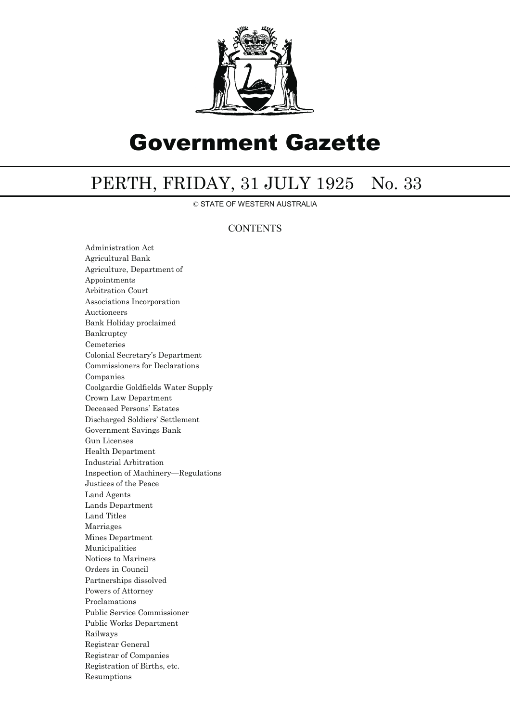

# Government Gazette

## PERTH, FRIDAY, 31 JULY 1925 No. 33

© STATE OF WESTERN AUSTRALIA

### **CONTENTS**

Administration Act Agricultural Bank Agriculture, Department of Appointments Arbitration Court Associations Incorporation Auctioneers Bank Holiday proclaimed Bankruptcy Cemeteries Colonial Secretary's Department Commissioners for Declarations Companies Coolgardie Goldfields Water Supply Crown Law Department Deceased Persons' Estates Discharged Soldiers' Settlement Government Savings Bank Gun Licenses Health Department Industrial Arbitration Inspection of Machinery—Regulations Justices of the Peace Land Agents Lands Department Land Titles Marriages Mines Department Municipalities Notices to Mariners Orders in Council Partnerships dissolved Powers of Attorney Proclamations Public Service Commissioner Public Works Department Railways Registrar General Registrar of Companies Registration of Births, etc. Resumptions